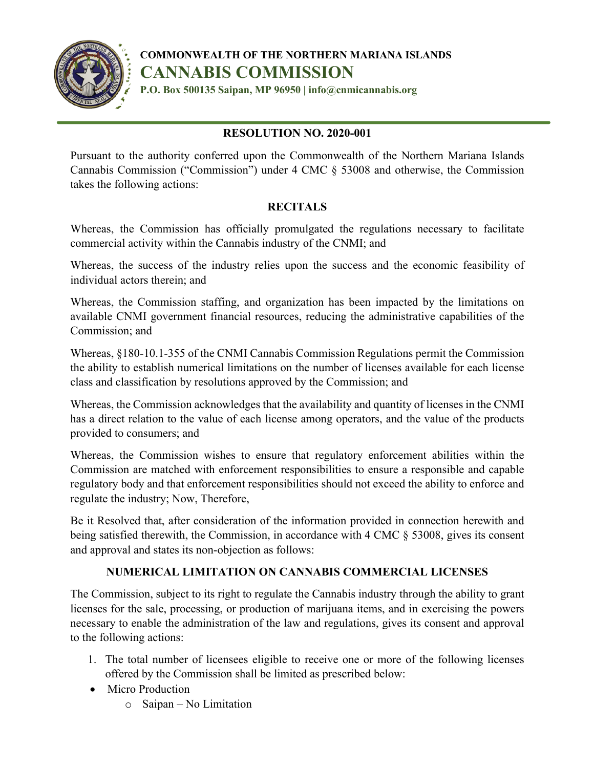

**COMMONWEALTH OF THE NORTHERN MARIANA ISLANDS CANNABIS COMMISSION**

**P.O. Box 500135 Saipan, MP 96950 | info@cnmicannabis.org**

## **RESOLUTION NO. 2020-001**

Pursuant to the authority conferred upon the Commonwealth of the Northern Mariana Islands Cannabis Commission ("Commission") under 4 CMC § 53008 and otherwise, the Commission takes the following actions:

## **RECITALS**

Whereas, the Commission has officially promulgated the regulations necessary to facilitate commercial activity within the Cannabis industry of the CNMI; and

Whereas, the success of the industry relies upon the success and the economic feasibility of individual actors therein; and

Whereas, the Commission staffing, and organization has been impacted by the limitations on available CNMI government financial resources, reducing the administrative capabilities of the Commission; and

Whereas, §180-10.1-355 of the CNMI Cannabis Commission Regulations permit the Commission the ability to establish numerical limitations on the number of licenses available for each license class and classification by resolutions approved by the Commission; and

Whereas, the Commission acknowledges that the availability and quantity of licenses in the CNMI has a direct relation to the value of each license among operators, and the value of the products provided to consumers; and

Whereas, the Commission wishes to ensure that regulatory enforcement abilities within the Commission are matched with enforcement responsibilities to ensure a responsible and capable regulatory body and that enforcement responsibilities should not exceed the ability to enforce and regulate the industry; Now, Therefore,

Be it Resolved that, after consideration of the information provided in connection herewith and being satisfied therewith, the Commission, in accordance with 4 CMC § 53008, gives its consent and approval and states its non-objection as follows:

## **NUMERICAL LIMITATION ON CANNABIS COMMERCIAL LICENSES**

The Commission, subject to its right to regulate the Cannabis industry through the ability to grant licenses for the sale, processing, or production of marijuana items, and in exercising the powers necessary to enable the administration of the law and regulations, gives its consent and approval to the following actions:

- 1. The total number of licensees eligible to receive one or more of the following licenses offered by the Commission shall be limited as prescribed below:
- Micro Production
	- o Saipan No Limitation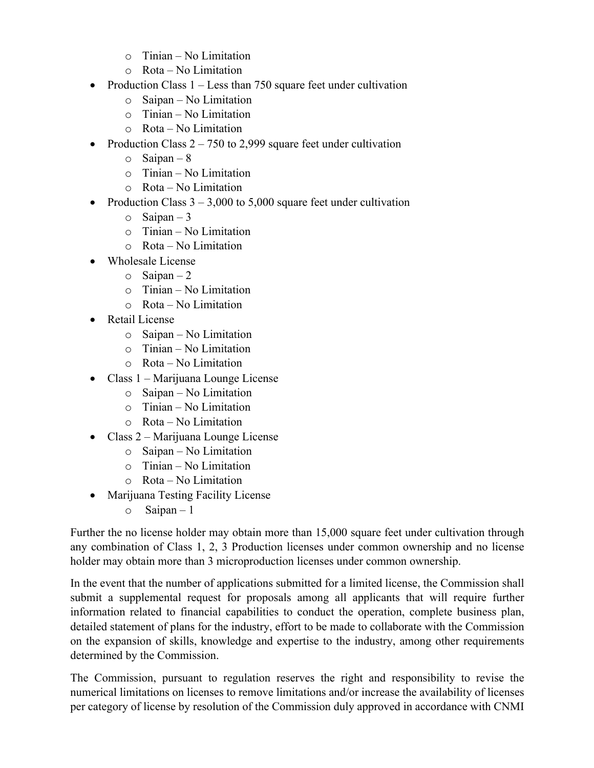- o Tinian No Limitation
- o Rota No Limitation
- Production Class  $1 -$  Less than 750 square feet under cultivation
	- o Saipan No Limitation
	- o Tinian No Limitation
	- $\circ$  Rota No Limitation
- Production Class  $2 750$  to 2,999 square feet under cultivation
	- $\circ$  Saipan 8
	- o Tinian No Limitation
	- o Rota No Limitation
- Production Class  $3 3,000$  to  $5,000$  square feet under cultivation
	- $\circ$  Saipan 3
	- o Tinian No Limitation
	- o Rota No Limitation
- Wholesale License
	- $\circ$  Saipan 2
	- o Tinian No Limitation
	- o Rota No Limitation
- Retail License
	- o Saipan No Limitation
	- o Tinian No Limitation
	- o Rota No Limitation
- Class 1 Marijuana Lounge License
	- o Saipan No Limitation
	- $\circ$  Tinian No Limitation
	- o Rota No Limitation
- Class 2 Marijuana Lounge License
	- o Saipan No Limitation
	- o Tinian No Limitation
	- o Rota No Limitation
- Marijuana Testing Facility License
	- $\circ$  Saipan 1

Further the no license holder may obtain more than 15,000 square feet under cultivation through any combination of Class 1, 2, 3 Production licenses under common ownership and no license holder may obtain more than 3 microproduction licenses under common ownership.

In the event that the number of applications submitted for a limited license, the Commission shall submit a supplemental request for proposals among all applicants that will require further information related to financial capabilities to conduct the operation, complete business plan, detailed statement of plans for the industry, effort to be made to collaborate with the Commission on the expansion of skills, knowledge and expertise to the industry, among other requirements determined by the Commission.

The Commission, pursuant to regulation reserves the right and responsibility to revise the numerical limitations on licenses to remove limitations and/or increase the availability of licenses per category of license by resolution of the Commission duly approved in accordance with CNMI